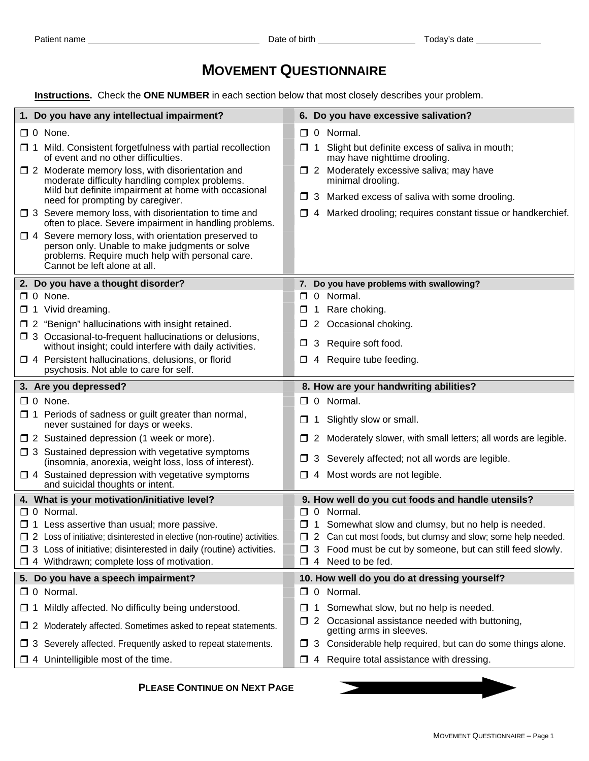## **MOVEMENT QUESTIONNAIRE**

 **Instructions.** Check the **ONE NUMBER** in each section below that most closely describes your problem.

| $\Box$ 0 None.<br>$\Box$ 0 Normal.<br>$\Box$ 1 Mild. Consistent forgetfulness with partial recollection<br>Slight but definite excess of saliva in mouth;<br>□ 1<br>of event and no other difficulties.<br>may have nighttime drooling.<br>7 2 Moderately excessive saliva; may have<br>$\Box$ 2 Moderate memory loss, with disorientation and<br>moderate difficulty handling complex problems.<br>minimal drooling.<br>Mild but definite impairment at home with occasional<br>$\Box$ 3 Marked excess of saliva with some drooling.<br>need for prompting by caregiver.<br>$\Box$ 3 Severe memory loss, with disorientation to time and<br>4 Marked drooling; requires constant tissue or handkerchief.<br>$\Box$<br>often to place. Severe impairment in handling problems.<br>$\Box$ 4 Severe memory loss, with orientation preserved to<br>person only. Unable to make judgments or solve<br>problems. Require much help with personal care.<br>Cannot be left alone at all.<br>7. Do you have problems with swallowing?<br>2. Do you have a thought disorder?<br>0 Normal.<br>$\Box$ 0 None.<br>□<br>Rare choking.<br>1 Vivid dreaming.<br>□<br>$\Box$ 2 "Benign" hallucinations with insight retained.<br>Occasional choking.<br>$\mathbf{2}$<br>□<br>$\Box$ 3 Occasional-to-frequent hallucinations or delusions,<br>3 Require soft food.<br>□<br>without insight; could interfere with daily activities.<br>$\Box$ 4 Persistent hallucinations, delusions, or florid<br>Require tube feeding.<br>□<br>4<br>psychosis. Not able to care for self.<br>3. Are you depressed?<br>8. How are your handwriting abilities?<br>$\Box$ 0 None.<br>$\Box$ 0 Normal.<br>$\Box$ 1 Periods of sadness or guilt greater than normal,<br>Slightly slow or small.<br>$\Box$<br>-1<br>never sustained for days or weeks.<br>$\Box$ 2 Sustained depression (1 week or more).<br>2 Moderately slower, with small letters; all words are legible.<br>ப<br>□ 3 Sustained depression with vegetative symptoms<br>3 Severely affected; not all words are legible.<br>⊔<br>(insomnia, anorexia, weight loss, loss of interest).<br>$\Box$ 4 Sustained depression with vegetative symptoms<br>4 Most words are not legible.<br>□<br>and suicidal thoughts or intent.<br>4. What is your motivation/initiative level?<br>9. How well do you cut foods and handle utensils?<br>$\Box$ 0 Normal.<br>0 Normal.<br>□<br>$\Box$ 1 Less assertive than usual; more passive.<br>$\Box$ 1 Somewhat slow and clumsy, but no help is needed.<br>□ 2 Loss of initiative; disinterested in elective (non-routine) activities.<br>□ 2 Can cut most foods, but clumsy and slow; some help needed.<br>$\Box$ 3 Loss of initiative; disinterested in daily (routine) activities.<br>3 Food must be cut by someone, but can still feed slowly.<br>$\Box$ 4 Withdrawn; complete loss of motivation.<br>Need to be fed.<br>4<br>□<br>5. Do you have a speech impairment?<br>10. How well do you do at dressing yourself?<br>$\Box$ 0 Normal.<br>0 Normal.<br>0<br>Somewhat slow, but no help is needed.<br>$\Box$ 1 Mildly affected. No difficulty being understood.<br>$\Box$<br>1<br>Occasional assistance needed with buttoning,<br>□<br>$\mathbf{Z}$<br>$\Box$ 2 Moderately affected. Sometimes asked to repeat statements.<br>getting arms in sleeves.<br>Considerable help required, but can do some things alone.<br>$\Box$ 3 Severely affected. Frequently asked to repeat statements.<br>$\Box$<br>3<br>$\Box$ 4 Unintelligible most of the time.<br>4 Require total assistance with dressing.<br>$\Box$ | 1. Do you have any intellectual impairment? | 6. Do you have excessive salivation? |
|-------------------------------------------------------------------------------------------------------------------------------------------------------------------------------------------------------------------------------------------------------------------------------------------------------------------------------------------------------------------------------------------------------------------------------------------------------------------------------------------------------------------------------------------------------------------------------------------------------------------------------------------------------------------------------------------------------------------------------------------------------------------------------------------------------------------------------------------------------------------------------------------------------------------------------------------------------------------------------------------------------------------------------------------------------------------------------------------------------------------------------------------------------------------------------------------------------------------------------------------------------------------------------------------------------------------------------------------------------------------------------------------------------------------------------------------------------------------------------------------------------------------------------------------------------------------------------------------------------------------------------------------------------------------------------------------------------------------------------------------------------------------------------------------------------------------------------------------------------------------------------------------------------------------------------------------------------------------------------------------------------------------------------------------------------------------------------------------------------------------------------------------------------------------------------------------------------------------------------------------------------------------------------------------------------------------------------------------------------------------------------------------------------------------------------------------------------------------------------------------------------------------------------------------------------------------------------------------------------------------------------------------------------------------------------------------------------------------------------------------------------------------------------------------------------------------------------------------------------------------------------------------------------------------------------------------------------------------------------------------------------------------------------------------------------------------------------------------------------------------------------------------------------------------------------------------------------------------------------------------------------------------------------------------------------------------------------------------------------------------------------------------------------------------------------------------------------------------------------------------------------------------------------------------------------------------------------|---------------------------------------------|--------------------------------------|
|                                                                                                                                                                                                                                                                                                                                                                                                                                                                                                                                                                                                                                                                                                                                                                                                                                                                                                                                                                                                                                                                                                                                                                                                                                                                                                                                                                                                                                                                                                                                                                                                                                                                                                                                                                                                                                                                                                                                                                                                                                                                                                                                                                                                                                                                                                                                                                                                                                                                                                                                                                                                                                                                                                                                                                                                                                                                                                                                                                                                                                                                                                                                                                                                                                                                                                                                                                                                                                                                                                                                                                               |                                             |                                      |
|                                                                                                                                                                                                                                                                                                                                                                                                                                                                                                                                                                                                                                                                                                                                                                                                                                                                                                                                                                                                                                                                                                                                                                                                                                                                                                                                                                                                                                                                                                                                                                                                                                                                                                                                                                                                                                                                                                                                                                                                                                                                                                                                                                                                                                                                                                                                                                                                                                                                                                                                                                                                                                                                                                                                                                                                                                                                                                                                                                                                                                                                                                                                                                                                                                                                                                                                                                                                                                                                                                                                                                               |                                             |                                      |
|                                                                                                                                                                                                                                                                                                                                                                                                                                                                                                                                                                                                                                                                                                                                                                                                                                                                                                                                                                                                                                                                                                                                                                                                                                                                                                                                                                                                                                                                                                                                                                                                                                                                                                                                                                                                                                                                                                                                                                                                                                                                                                                                                                                                                                                                                                                                                                                                                                                                                                                                                                                                                                                                                                                                                                                                                                                                                                                                                                                                                                                                                                                                                                                                                                                                                                                                                                                                                                                                                                                                                                               |                                             |                                      |
|                                                                                                                                                                                                                                                                                                                                                                                                                                                                                                                                                                                                                                                                                                                                                                                                                                                                                                                                                                                                                                                                                                                                                                                                                                                                                                                                                                                                                                                                                                                                                                                                                                                                                                                                                                                                                                                                                                                                                                                                                                                                                                                                                                                                                                                                                                                                                                                                                                                                                                                                                                                                                                                                                                                                                                                                                                                                                                                                                                                                                                                                                                                                                                                                                                                                                                                                                                                                                                                                                                                                                                               |                                             |                                      |
|                                                                                                                                                                                                                                                                                                                                                                                                                                                                                                                                                                                                                                                                                                                                                                                                                                                                                                                                                                                                                                                                                                                                                                                                                                                                                                                                                                                                                                                                                                                                                                                                                                                                                                                                                                                                                                                                                                                                                                                                                                                                                                                                                                                                                                                                                                                                                                                                                                                                                                                                                                                                                                                                                                                                                                                                                                                                                                                                                                                                                                                                                                                                                                                                                                                                                                                                                                                                                                                                                                                                                                               |                                             |                                      |
|                                                                                                                                                                                                                                                                                                                                                                                                                                                                                                                                                                                                                                                                                                                                                                                                                                                                                                                                                                                                                                                                                                                                                                                                                                                                                                                                                                                                                                                                                                                                                                                                                                                                                                                                                                                                                                                                                                                                                                                                                                                                                                                                                                                                                                                                                                                                                                                                                                                                                                                                                                                                                                                                                                                                                                                                                                                                                                                                                                                                                                                                                                                                                                                                                                                                                                                                                                                                                                                                                                                                                                               |                                             |                                      |
|                                                                                                                                                                                                                                                                                                                                                                                                                                                                                                                                                                                                                                                                                                                                                                                                                                                                                                                                                                                                                                                                                                                                                                                                                                                                                                                                                                                                                                                                                                                                                                                                                                                                                                                                                                                                                                                                                                                                                                                                                                                                                                                                                                                                                                                                                                                                                                                                                                                                                                                                                                                                                                                                                                                                                                                                                                                                                                                                                                                                                                                                                                                                                                                                                                                                                                                                                                                                                                                                                                                                                                               |                                             |                                      |
|                                                                                                                                                                                                                                                                                                                                                                                                                                                                                                                                                                                                                                                                                                                                                                                                                                                                                                                                                                                                                                                                                                                                                                                                                                                                                                                                                                                                                                                                                                                                                                                                                                                                                                                                                                                                                                                                                                                                                                                                                                                                                                                                                                                                                                                                                                                                                                                                                                                                                                                                                                                                                                                                                                                                                                                                                                                                                                                                                                                                                                                                                                                                                                                                                                                                                                                                                                                                                                                                                                                                                                               |                                             |                                      |
|                                                                                                                                                                                                                                                                                                                                                                                                                                                                                                                                                                                                                                                                                                                                                                                                                                                                                                                                                                                                                                                                                                                                                                                                                                                                                                                                                                                                                                                                                                                                                                                                                                                                                                                                                                                                                                                                                                                                                                                                                                                                                                                                                                                                                                                                                                                                                                                                                                                                                                                                                                                                                                                                                                                                                                                                                                                                                                                                                                                                                                                                                                                                                                                                                                                                                                                                                                                                                                                                                                                                                                               |                                             |                                      |
|                                                                                                                                                                                                                                                                                                                                                                                                                                                                                                                                                                                                                                                                                                                                                                                                                                                                                                                                                                                                                                                                                                                                                                                                                                                                                                                                                                                                                                                                                                                                                                                                                                                                                                                                                                                                                                                                                                                                                                                                                                                                                                                                                                                                                                                                                                                                                                                                                                                                                                                                                                                                                                                                                                                                                                                                                                                                                                                                                                                                                                                                                                                                                                                                                                                                                                                                                                                                                                                                                                                                                                               |                                             |                                      |
|                                                                                                                                                                                                                                                                                                                                                                                                                                                                                                                                                                                                                                                                                                                                                                                                                                                                                                                                                                                                                                                                                                                                                                                                                                                                                                                                                                                                                                                                                                                                                                                                                                                                                                                                                                                                                                                                                                                                                                                                                                                                                                                                                                                                                                                                                                                                                                                                                                                                                                                                                                                                                                                                                                                                                                                                                                                                                                                                                                                                                                                                                                                                                                                                                                                                                                                                                                                                                                                                                                                                                                               |                                             |                                      |
|                                                                                                                                                                                                                                                                                                                                                                                                                                                                                                                                                                                                                                                                                                                                                                                                                                                                                                                                                                                                                                                                                                                                                                                                                                                                                                                                                                                                                                                                                                                                                                                                                                                                                                                                                                                                                                                                                                                                                                                                                                                                                                                                                                                                                                                                                                                                                                                                                                                                                                                                                                                                                                                                                                                                                                                                                                                                                                                                                                                                                                                                                                                                                                                                                                                                                                                                                                                                                                                                                                                                                                               |                                             |                                      |
|                                                                                                                                                                                                                                                                                                                                                                                                                                                                                                                                                                                                                                                                                                                                                                                                                                                                                                                                                                                                                                                                                                                                                                                                                                                                                                                                                                                                                                                                                                                                                                                                                                                                                                                                                                                                                                                                                                                                                                                                                                                                                                                                                                                                                                                                                                                                                                                                                                                                                                                                                                                                                                                                                                                                                                                                                                                                                                                                                                                                                                                                                                                                                                                                                                                                                                                                                                                                                                                                                                                                                                               |                                             |                                      |
|                                                                                                                                                                                                                                                                                                                                                                                                                                                                                                                                                                                                                                                                                                                                                                                                                                                                                                                                                                                                                                                                                                                                                                                                                                                                                                                                                                                                                                                                                                                                                                                                                                                                                                                                                                                                                                                                                                                                                                                                                                                                                                                                                                                                                                                                                                                                                                                                                                                                                                                                                                                                                                                                                                                                                                                                                                                                                                                                                                                                                                                                                                                                                                                                                                                                                                                                                                                                                                                                                                                                                                               |                                             |                                      |
|                                                                                                                                                                                                                                                                                                                                                                                                                                                                                                                                                                                                                                                                                                                                                                                                                                                                                                                                                                                                                                                                                                                                                                                                                                                                                                                                                                                                                                                                                                                                                                                                                                                                                                                                                                                                                                                                                                                                                                                                                                                                                                                                                                                                                                                                                                                                                                                                                                                                                                                                                                                                                                                                                                                                                                                                                                                                                                                                                                                                                                                                                                                                                                                                                                                                                                                                                                                                                                                                                                                                                                               |                                             |                                      |
|                                                                                                                                                                                                                                                                                                                                                                                                                                                                                                                                                                                                                                                                                                                                                                                                                                                                                                                                                                                                                                                                                                                                                                                                                                                                                                                                                                                                                                                                                                                                                                                                                                                                                                                                                                                                                                                                                                                                                                                                                                                                                                                                                                                                                                                                                                                                                                                                                                                                                                                                                                                                                                                                                                                                                                                                                                                                                                                                                                                                                                                                                                                                                                                                                                                                                                                                                                                                                                                                                                                                                                               |                                             |                                      |
|                                                                                                                                                                                                                                                                                                                                                                                                                                                                                                                                                                                                                                                                                                                                                                                                                                                                                                                                                                                                                                                                                                                                                                                                                                                                                                                                                                                                                                                                                                                                                                                                                                                                                                                                                                                                                                                                                                                                                                                                                                                                                                                                                                                                                                                                                                                                                                                                                                                                                                                                                                                                                                                                                                                                                                                                                                                                                                                                                                                                                                                                                                                                                                                                                                                                                                                                                                                                                                                                                                                                                                               |                                             |                                      |
|                                                                                                                                                                                                                                                                                                                                                                                                                                                                                                                                                                                                                                                                                                                                                                                                                                                                                                                                                                                                                                                                                                                                                                                                                                                                                                                                                                                                                                                                                                                                                                                                                                                                                                                                                                                                                                                                                                                                                                                                                                                                                                                                                                                                                                                                                                                                                                                                                                                                                                                                                                                                                                                                                                                                                                                                                                                                                                                                                                                                                                                                                                                                                                                                                                                                                                                                                                                                                                                                                                                                                                               |                                             |                                      |
|                                                                                                                                                                                                                                                                                                                                                                                                                                                                                                                                                                                                                                                                                                                                                                                                                                                                                                                                                                                                                                                                                                                                                                                                                                                                                                                                                                                                                                                                                                                                                                                                                                                                                                                                                                                                                                                                                                                                                                                                                                                                                                                                                                                                                                                                                                                                                                                                                                                                                                                                                                                                                                                                                                                                                                                                                                                                                                                                                                                                                                                                                                                                                                                                                                                                                                                                                                                                                                                                                                                                                                               |                                             |                                      |
|                                                                                                                                                                                                                                                                                                                                                                                                                                                                                                                                                                                                                                                                                                                                                                                                                                                                                                                                                                                                                                                                                                                                                                                                                                                                                                                                                                                                                                                                                                                                                                                                                                                                                                                                                                                                                                                                                                                                                                                                                                                                                                                                                                                                                                                                                                                                                                                                                                                                                                                                                                                                                                                                                                                                                                                                                                                                                                                                                                                                                                                                                                                                                                                                                                                                                                                                                                                                                                                                                                                                                                               |                                             |                                      |
|                                                                                                                                                                                                                                                                                                                                                                                                                                                                                                                                                                                                                                                                                                                                                                                                                                                                                                                                                                                                                                                                                                                                                                                                                                                                                                                                                                                                                                                                                                                                                                                                                                                                                                                                                                                                                                                                                                                                                                                                                                                                                                                                                                                                                                                                                                                                                                                                                                                                                                                                                                                                                                                                                                                                                                                                                                                                                                                                                                                                                                                                                                                                                                                                                                                                                                                                                                                                                                                                                                                                                                               |                                             |                                      |
|                                                                                                                                                                                                                                                                                                                                                                                                                                                                                                                                                                                                                                                                                                                                                                                                                                                                                                                                                                                                                                                                                                                                                                                                                                                                                                                                                                                                                                                                                                                                                                                                                                                                                                                                                                                                                                                                                                                                                                                                                                                                                                                                                                                                                                                                                                                                                                                                                                                                                                                                                                                                                                                                                                                                                                                                                                                                                                                                                                                                                                                                                                                                                                                                                                                                                                                                                                                                                                                                                                                                                                               |                                             |                                      |
|                                                                                                                                                                                                                                                                                                                                                                                                                                                                                                                                                                                                                                                                                                                                                                                                                                                                                                                                                                                                                                                                                                                                                                                                                                                                                                                                                                                                                                                                                                                                                                                                                                                                                                                                                                                                                                                                                                                                                                                                                                                                                                                                                                                                                                                                                                                                                                                                                                                                                                                                                                                                                                                                                                                                                                                                                                                                                                                                                                                                                                                                                                                                                                                                                                                                                                                                                                                                                                                                                                                                                                               |                                             |                                      |
|                                                                                                                                                                                                                                                                                                                                                                                                                                                                                                                                                                                                                                                                                                                                                                                                                                                                                                                                                                                                                                                                                                                                                                                                                                                                                                                                                                                                                                                                                                                                                                                                                                                                                                                                                                                                                                                                                                                                                                                                                                                                                                                                                                                                                                                                                                                                                                                                                                                                                                                                                                                                                                                                                                                                                                                                                                                                                                                                                                                                                                                                                                                                                                                                                                                                                                                                                                                                                                                                                                                                                                               |                                             |                                      |
|                                                                                                                                                                                                                                                                                                                                                                                                                                                                                                                                                                                                                                                                                                                                                                                                                                                                                                                                                                                                                                                                                                                                                                                                                                                                                                                                                                                                                                                                                                                                                                                                                                                                                                                                                                                                                                                                                                                                                                                                                                                                                                                                                                                                                                                                                                                                                                                                                                                                                                                                                                                                                                                                                                                                                                                                                                                                                                                                                                                                                                                                                                                                                                                                                                                                                                                                                                                                                                                                                                                                                                               |                                             |                                      |
|                                                                                                                                                                                                                                                                                                                                                                                                                                                                                                                                                                                                                                                                                                                                                                                                                                                                                                                                                                                                                                                                                                                                                                                                                                                                                                                                                                                                                                                                                                                                                                                                                                                                                                                                                                                                                                                                                                                                                                                                                                                                                                                                                                                                                                                                                                                                                                                                                                                                                                                                                                                                                                                                                                                                                                                                                                                                                                                                                                                                                                                                                                                                                                                                                                                                                                                                                                                                                                                                                                                                                                               |                                             |                                      |
|                                                                                                                                                                                                                                                                                                                                                                                                                                                                                                                                                                                                                                                                                                                                                                                                                                                                                                                                                                                                                                                                                                                                                                                                                                                                                                                                                                                                                                                                                                                                                                                                                                                                                                                                                                                                                                                                                                                                                                                                                                                                                                                                                                                                                                                                                                                                                                                                                                                                                                                                                                                                                                                                                                                                                                                                                                                                                                                                                                                                                                                                                                                                                                                                                                                                                                                                                                                                                                                                                                                                                                               |                                             |                                      |
|                                                                                                                                                                                                                                                                                                                                                                                                                                                                                                                                                                                                                                                                                                                                                                                                                                                                                                                                                                                                                                                                                                                                                                                                                                                                                                                                                                                                                                                                                                                                                                                                                                                                                                                                                                                                                                                                                                                                                                                                                                                                                                                                                                                                                                                                                                                                                                                                                                                                                                                                                                                                                                                                                                                                                                                                                                                                                                                                                                                                                                                                                                                                                                                                                                                                                                                                                                                                                                                                                                                                                                               |                                             |                                      |
|                                                                                                                                                                                                                                                                                                                                                                                                                                                                                                                                                                                                                                                                                                                                                                                                                                                                                                                                                                                                                                                                                                                                                                                                                                                                                                                                                                                                                                                                                                                                                                                                                                                                                                                                                                                                                                                                                                                                                                                                                                                                                                                                                                                                                                                                                                                                                                                                                                                                                                                                                                                                                                                                                                                                                                                                                                                                                                                                                                                                                                                                                                                                                                                                                                                                                                                                                                                                                                                                                                                                                                               |                                             |                                      |